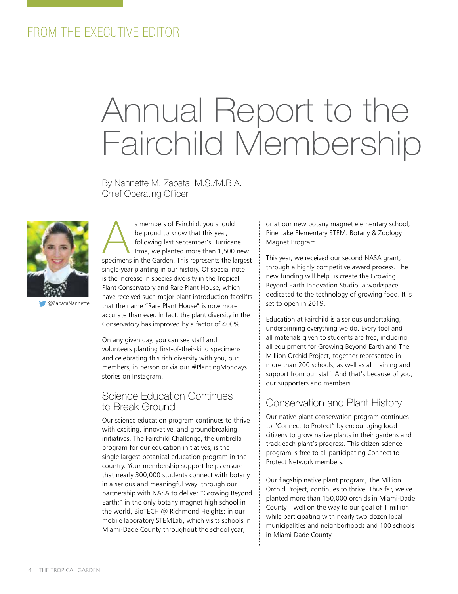# FROM THE EXECUTIVE EDITOR

# Annual Report to the Fairchild Membership

By Nannette M. Zapata, M.S./M.B.A. Chief Operating Officer



@ZapataNannette

s members of Fairchild, you should<br>be proud to know that this year,<br>following last September's Hurrican<br>Irma, we planted more than 1,500<br>Specimens in the Garden. This represents the la be proud to know that this year, following last September's Hurricane Irma, we planted more than 1,500 new specimens in the Garden. This represents the largest single-year planting in our history. Of special note is the increase in species diversity in the Tropical Plant Conservatory and Rare Plant House, which have received such major plant introduction facelifts that the name "Rare Plant House" is now more accurate than ever. In fact, the plant diversity in the Conservatory has improved by a factor of 400%.

On any given day, you can see staff and volunteers planting first-of-their-kind specimens and celebrating this rich diversity with you, our members, in person or via our #PlantingMondays stories on Instagram.

#### Science Education Continues to Break Ground

Our science education program continues to thrive with exciting, innovative, and groundbreaking initiatives. The Fairchild Challenge, the umbrella program for our education initiatives, is the single largest botanical education program in the country. Your membership support helps ensure that nearly 300,000 students connect with botany in a serious and meaningful way: through our partnership with NASA to deliver "Growing Beyond Earth;" in the only botany magnet high school in the world, BioTECH @ Richmond Heights; in our mobile laboratory STEMLab, which visits schools in Miami-Dade County throughout the school year;

or at our new botany magnet elementary school, Pine Lake Elementary STEM: Botany & Zoology Magnet Program.

This year, we received our second NASA grant, through a highly competitive award process. The new funding will help us create the Growing Beyond Earth Innovation Studio, a workspace dedicated to the technology of growing food. It is set to open in 2019.

Education at Fairchild is a serious undertaking, underpinning everything we do. Every tool and all materials given to students are free, including all equipment for Growing Beyond Earth and The Million Orchid Project, together represented in more than 200 schools, as well as all training and support from our staff. And that's because of you, our supporters and members.

#### Conservation and Plant History

Our native plant conservation program continues to "Connect to Protect" by encouraging local citizens to grow native plants in their gardens and track each plant's progress. This citizen science program is free to all participating Connect to Protect Network members.

Our flagship native plant program, The Million Orchid Project, continues to thrive. Thus far, we've planted more than 150,000 orchids in Miami-Dade County—well on the way to our goal of 1 million while participating with nearly two dozen local municipalities and neighborhoods and 100 schools in Miami-Dade County.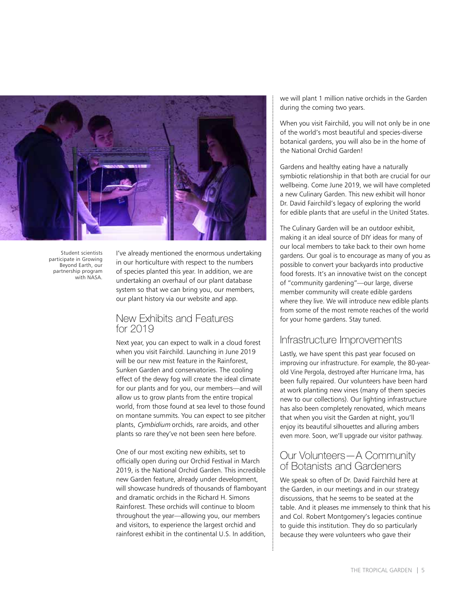

Student scientists participate in Growing Beyond Earth, our partnership program with NASA.

I've already mentioned the enormous undertaking in our horticulture with respect to the numbers of species planted this year. In addition, we are undertaking an overhaul of our plant database system so that we can bring you, our members, our plant history via our website and app.

#### New Exhibits and Features for 2019

Next year, you can expect to walk in a cloud forest when you visit Fairchild. Launching in June 2019 will be our new mist feature in the Rainforest, Sunken Garden and conservatories. The cooling effect of the dewy fog will create the ideal climate for our plants and for you, our members—and will allow us to grow plants from the entire tropical world, from those found at sea level to those found on montane summits. You can expect to see pitcher plants, Cymbidium orchids, rare aroids, and other plants so rare they've not been seen here before.

One of our most exciting new exhibits, set to officially open during our Orchid Festival in March 2019, is the National Orchid Garden. This incredible new Garden feature, already under development, will showcase hundreds of thousands of flamboyant and dramatic orchids in the Richard H. Simons Rainforest. These orchids will continue to bloom throughout the year—allowing you, our members and visitors, to experience the largest orchid and rainforest exhibit in the continental U.S. In addition,

we will plant 1 million native orchids in the Garden during the coming two years.

When you visit Fairchild, you will not only be in one of the world's most beautiful and species-diverse botanical gardens, you will also be in the home of the National Orchid Garden!

Gardens and healthy eating have a naturally symbiotic relationship in that both are crucial for our wellbeing. Come June 2019, we will have completed a new Culinary Garden. This new exhibit will honor Dr. David Fairchild's legacy of exploring the world for edible plants that are useful in the United States.

The Culinary Garden will be an outdoor exhibit, making it an ideal source of DIY ideas for many of our local members to take back to their own home gardens. Our goal is to encourage as many of you as possible to convert your backyards into productive food forests. It's an innovative twist on the concept of "community gardening"—our large, diverse member community will create edible gardens where they live. We will introduce new edible plants from some of the most remote reaches of the world for your home gardens. Stay tuned.

#### Infrastructure Improvements

Lastly, we have spent this past year focused on improving our infrastructure. For example, the 80-yearold Vine Pergola, destroyed after Hurricane Irma, has been fully repaired. Our volunteers have been hard at work planting new vines (many of them species new to our collections). Our lighting infrastructure has also been completely renovated, which means that when you visit the Garden at night, you'll enjoy its beautiful silhouettes and alluring ambers even more. Soon, we'll upgrade our visitor pathway.

## Our Volunteers—A Community of Botanists and Gardeners

We speak so often of Dr. David Fairchild here at the Garden, in our meetings and in our strategy discussions, that he seems to be seated at the table. And it pleases me immensely to think that his and Col. Robert Montgomery's legacies continue to guide this institution. They do so particularly because they were volunteers who gave their